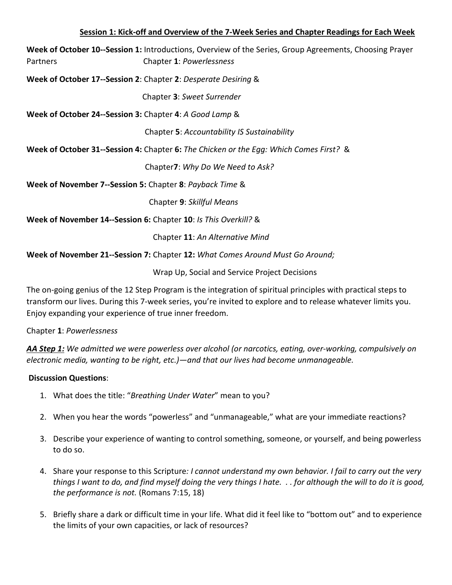#### **Session 1: Kick-off and Overview of the 7-Week Series and Chapter Readings for Each Week**

**Week of October 10--Session 1:** Introductions, Overview of the Series, Group Agreements, Choosing Prayer Partners Chapter **1**: *Powerlessness*

**Week of October 17--Session 2**: Chapter **2**: *Desperate Desiring* &

Chapter **3**: *Sweet Surrender*

**Week of October 24--Session 3:** Chapter **4**: *A Good Lamp* &

Chapter **5**: *Accountability IS Sustainability*

**Week of October 31--Session 4:** Chapter **6:** *The Chicken or the Egg: Which Comes First?* &

Chapter**7**: *Why Do We Need to Ask?*

**Week of November 7--Session 5:** Chapter **8**: *Payback Time* &

Chapter **9**: *Skillful Means* 

**Week of November 14--Session 6:** Chapter **10**: *Is This Overkill?* &

Chapter **11**: *An Alternative Mind*

**Week of November 21--Session 7:** Chapter **12:** *What Comes Around Must Go Around;*

Wrap Up, Social and Service Project Decisions

The on-going genius of the 12 Step Program is the integration of spiritual principles with practical steps to transform our lives. During this 7-week series, you're invited to explore and to release whatever limits you. Enjoy expanding your experience of true inner freedom.

Chapter **1**: *Powerlessness*

*AA Step 1: We admitted we were powerless over alcohol (or narcotics, eating, over-working, compulsively on electronic media, wanting to be right, etc.)—and that our lives had become unmanageable.*

## **Discussion Questions**:

- 1. What does the title: "*Breathing Under Water*" mean to you?
- 2. When you hear the words "powerless" and "unmanageable," what are your immediate reactions?
- 3. Describe your experience of wanting to control something, someone, or yourself, and being powerless to do so.
- 4. Share your response to this Scripture*: I cannot understand my own behavior. I fail to carry out the very things I want to do, and find myself doing the very things I hate. . . for although the will to do it is good, the performance is not.* (Romans 7:15, 18)
- 5. Briefly share a dark or difficult time in your life. What did it feel like to "bottom out" and to experience the limits of your own capacities, or lack of resources?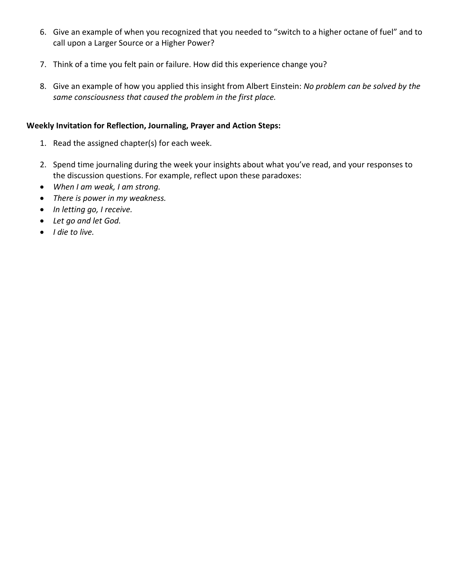- 6. Give an example of when you recognized that you needed to "switch to a higher octane of fuel" and to call upon a Larger Source or a Higher Power?
- 7. Think of a time you felt pain or failure. How did this experience change you?
- 8. Give an example of how you applied this insight from Albert Einstein: *No problem can be solved by the same consciousness that caused the problem in the first place.*

#### **Weekly Invitation for Reflection, Journaling, Prayer and Action Steps:**

- 1. Read the assigned chapter(s) for each week.
- 2. Spend time journaling during the week your insights about what you've read, and your responses to the discussion questions. For example, reflect upon these paradoxes:
- *When I am weak, I am strong.*
- *There is power in my weakness.*
- *In letting go, I receive.*
- *Let go and let God.*
- *I die to live.*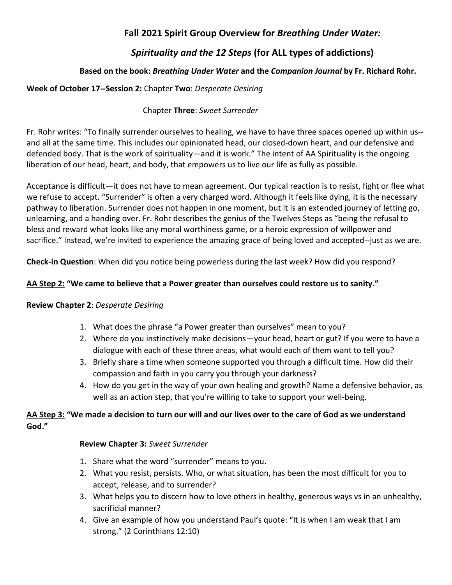# *Spirituality and the 12 Steps* **(for ALL types of addictions)**

## **Based on the book:** *Breathing Under Water* **and the** *Companion Journal* **by Fr. Richard Rohr.**

### **Week of October 17--Session 2:** Chapter **Two**: *Desperate Desiring*

### Chapter **Three**: *Sweet Surrender*

Fr. Rohr writes: "To finally surrender ourselves to healing, we have to have three spaces opened up within us- and all at the same time. This includes our opinionated head, our closed-down heart, and our defensive and defended body. That is the work of spirituality—and it is work." The intent of AA Spirituality is the ongoing liberation of our head, heart, and body, that empowers us to live our life as fully as possible.

Acceptance is difficult—it does not have to mean agreement. Our typical reaction is to resist, fight or flee what we refuse to accept. "Surrender" is often a very charged word. Although it feels like dying, it is the necessary pathway to liberation. Surrender does not happen in one moment, but it is an extended journey of letting go, unlearning, and a handing over. Fr. Rohr describes the genius of the Twelves Steps as "being the refusal to bless and reward what looks like any moral worthiness game, or a heroic expression of willpower and sacrifice." Instead, we're invited to experience the amazing grace of being loved and accepted--just as we are.

**Check-in Question**: When did you notice being powerless during the last week? How did you respond?

### **AA Step 2: "We came to believe that a Power greater than ourselves could restore us to sanity."**

#### **Review Chapter 2**: *Desperate Desiring*

- 1. What does the phrase "a Power greater than ourselves" mean to you?
- 2. Where do you instinctively make decisions—your head, heart or gut? If you were to have a dialogue with each of these three areas, what would each of them want to tell you?
- 3. Briefly share a time when someone supported you through a difficult time. How did their compassion and faith in you carry you through your darkness?
- 4. How do you get in the way of your own healing and growth? Name a defensive behavior, as well as an action step, that you're willing to take to support your well-being.

## **AA Step 3: "We made a decision to turn our will and our lives over to the care of God as we understand God."**

#### **Review Chapter 3:** *Sweet Surrender*

- 1. Share what the word "surrender" means to you.
- 2. What you resist, persists. Who, or what situation, has been the most difficult for you to accept, release, and to surrender?
- 3. What helps you to discern how to love others in healthy, generous ways vs in an unhealthy, sacrificial manner?
- 4. Give an example of how you understand Paul's quote: "It is when I am weak that I am strong." (2 Corinthians 12:10)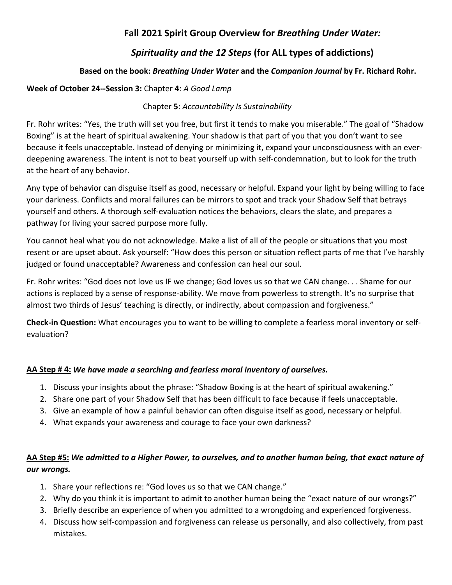# *Spirituality and the 12 Steps* **(for ALL types of addictions)**

## **Based on the book:** *Breathing Under Water* **and the** *Companion Journal* **by Fr. Richard Rohr.**

#### **Week of October 24--Session 3:** Chapter **4**: *A Good Lamp*

#### Chapter **5**: *Accountability Is Sustainability*

Fr. Rohr writes: "Yes, the truth will set you free, but first it tends to make you miserable." The goal of "Shadow Boxing" is at the heart of spiritual awakening. Your shadow is that part of you that you don't want to see because it feels unacceptable. Instead of denying or minimizing it, expand your unconsciousness with an everdeepening awareness. The intent is not to beat yourself up with self-condemnation, but to look for the truth at the heart of any behavior.

Any type of behavior can disguise itself as good, necessary or helpful. Expand your light by being willing to face your darkness. Conflicts and moral failures can be mirrors to spot and track your Shadow Self that betrays yourself and others. A thorough self-evaluation notices the behaviors, clears the slate, and prepares a pathway for living your sacred purpose more fully.

You cannot heal what you do not acknowledge. Make a list of all of the people or situations that you most resent or are upset about. Ask yourself: "How does this person or situation reflect parts of me that I've harshly judged or found unacceptable? Awareness and confession can heal our soul.

Fr. Rohr writes: "God does not love us IF we change; God loves us so that we CAN change. . . Shame for our actions is replaced by a sense of response-ability. We move from powerless to strength. It's no surprise that almost two thirds of Jesus' teaching is directly, or indirectly, about compassion and forgiveness."

**Check-in Question:** What encourages you to want to be willing to complete a fearless moral inventory or selfevaluation?

## **AA Step # 4:** *We have made a searching and fearless moral inventory of ourselves.*

- 1. Discuss your insights about the phrase: "Shadow Boxing is at the heart of spiritual awakening."
- 2. Share one part of your Shadow Self that has been difficult to face because if feels unacceptable.
- 3. Give an example of how a painful behavior can often disguise itself as good, necessary or helpful.
- 4. What expands your awareness and courage to face your own darkness?

## **AA Step #5:** *We admitted to a Higher Power, to ourselves, and to another human being, that exact nature of our wrongs.*

- 1. Share your reflections re: "God loves us so that we CAN change."
- 2. Why do you think it is important to admit to another human being the "exact nature of our wrongs?"
- 3. Briefly describe an experience of when you admitted to a wrongdoing and experienced forgiveness.
- 4. Discuss how self-compassion and forgiveness can release us personally, and also collectively, from past mistakes.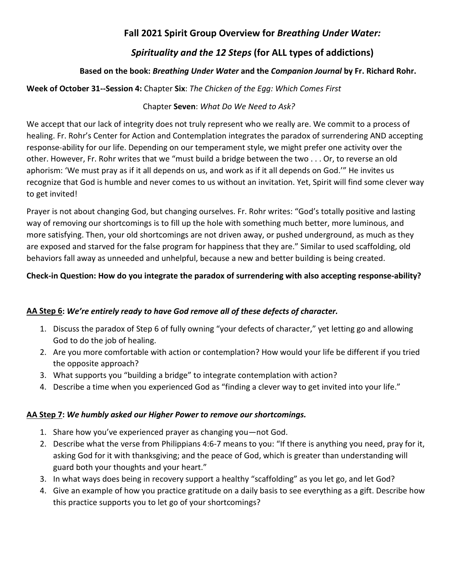# *Spirituality and the 12 Steps* **(for ALL types of addictions)**

## **Based on the book:** *Breathing Under Water* **and the** *Companion Journal* **by Fr. Richard Rohr.**

## **Week of October 31--Session 4:** Chapter **Six**: *The Chicken of the Egg: Which Comes First*

## Chapter **Seven**: *What Do We Need to Ask?*

We accept that our lack of integrity does not truly represent who we really are. We commit to a process of healing. Fr. Rohr's Center for Action and Contemplation integrates the paradox of surrendering AND accepting response-ability for our life. Depending on our temperament style, we might prefer one activity over the other. However, Fr. Rohr writes that we "must build a bridge between the two . . . Or, to reverse an old aphorism: 'We must pray as if it all depends on us, and work as if it all depends on God.'" He invites us recognize that God is humble and never comes to us without an invitation. Yet, Spirit will find some clever way to get invited!

Prayer is not about changing God, but changing ourselves. Fr. Rohr writes: "God's totally positive and lasting way of removing our shortcomings is to fill up the hole with something much better, more luminous, and more satisfying. Then, your old shortcomings are not driven away, or pushed underground, as much as they are exposed and starved for the false program for happiness that they are." Similar to used scaffolding, old behaviors fall away as unneeded and unhelpful, because a new and better building is being created.

## **Check-in Question: How do you integrate the paradox of surrendering with also accepting response-ability?**

## **AA Step 6:** *We're entirely ready to have God remove all of these defects of character.*

- 1. Discuss the paradox of Step 6 of fully owning "your defects of character," yet letting go and allowing God to do the job of healing.
- 2. Are you more comfortable with action or contemplation? How would your life be different if you tried the opposite approach?
- 3. What supports you "building a bridge" to integrate contemplation with action?
- 4. Describe a time when you experienced God as "finding a clever way to get invited into your life."

## **AA Step 7:** *We humbly asked our Higher Power to remove our shortcomings.*

- 1. Share how you've experienced prayer as changing you—not God.
- 2. Describe what the verse from Philippians 4:6-7 means to you: "If there is anything you need, pray for it, asking God for it with thanksgiving; and the peace of God, which is greater than understanding will guard both your thoughts and your heart."
- 3. In what ways does being in recovery support a healthy "scaffolding" as you let go, and let God?
- 4. Give an example of how you practice gratitude on a daily basis to see everything as a gift. Describe how this practice supports you to let go of your shortcomings?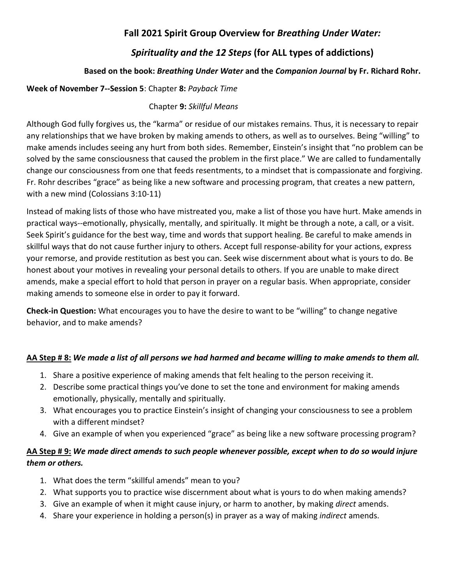# *Spirituality and the 12 Steps* **(for ALL types of addictions)**

## **Based on the book:** *Breathing Under Water* **and the** *Companion Journal* **by Fr. Richard Rohr.**

#### **Week of November 7--Session 5**: Chapter **8:** *Payback Time*

### Chapter **9:** *Skillful Means*

Although God fully forgives us, the "karma" or residue of our mistakes remains. Thus, it is necessary to repair any relationships that we have broken by making amends to others, as well as to ourselves. Being "willing" to make amends includes seeing any hurt from both sides. Remember, Einstein's insight that "no problem can be solved by the same consciousness that caused the problem in the first place." We are called to fundamentally change our consciousness from one that feeds resentments, to a mindset that is compassionate and forgiving. Fr. Rohr describes "grace" as being like a new software and processing program, that creates a new pattern, with a new mind (Colossians 3:10-11)

Instead of making lists of those who have mistreated you, make a list of those you have hurt. Make amends in practical ways--emotionally, physically, mentally, and spiritually. It might be through a note, a call, or a visit. Seek Spirit's guidance for the best way, time and words that support healing. Be careful to make amends in skillful ways that do not cause further injury to others. Accept full response-ability for your actions, express your remorse, and provide restitution as best you can. Seek wise discernment about what is yours to do. Be honest about your motives in revealing your personal details to others. If you are unable to make direct amends, make a special effort to hold that person in prayer on a regular basis. When appropriate, consider making amends to someone else in order to pay it forward.

**Check-in Question:** What encourages you to have the desire to want to be "willing" to change negative behavior, and to make amends?

## **AA Step # 8:** *We made a list of all persons we had harmed and became willing to make amends to them all.*

- 1. Share a positive experience of making amends that felt healing to the person receiving it.
- 2. Describe some practical things you've done to set the tone and environment for making amends emotionally, physically, mentally and spiritually.
- 3. What encourages you to practice Einstein's insight of changing your consciousness to see a problem with a different mindset?
- 4. Give an example of when you experienced "grace" as being like a new software processing program?

## **AA Step # 9:** *We made direct amends to such people whenever possible, except when to do so would injure them or others.*

- 1. What does the term "skillful amends" mean to you?
- 2. What supports you to practice wise discernment about what is yours to do when making amends?
- 3. Give an example of when it might cause injury, or harm to another, by making *direct* amends.
- 4. Share your experience in holding a person(s) in prayer as a way of making *indirect* amends.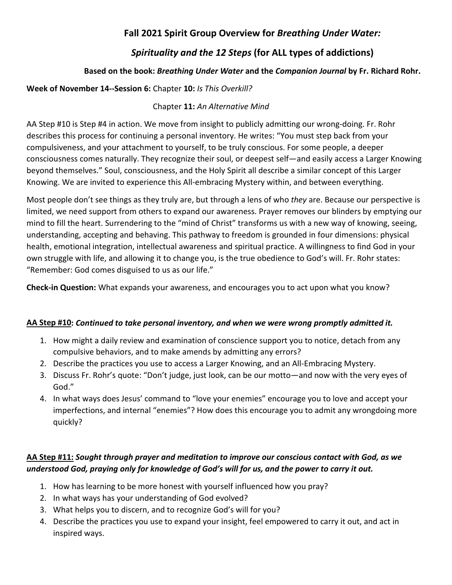# *Spirituality and the 12 Steps* **(for ALL types of addictions)**

## **Based on the book:** *Breathing Under Water* **and the** *Companion Journal* **by Fr. Richard Rohr.**

### **Week of November 14--Session 6:** Chapter **10:** *Is This Overkill?*

#### Chapter **11:** *An Alternative Mind*

AA Step #10 is Step #4 in action. We move from insight to publicly admitting our wrong-doing. Fr. Rohr describes this process for continuing a personal inventory. He writes: "You must step back from your compulsiveness, and your attachment to yourself, to be truly conscious. For some people, a deeper consciousness comes naturally. They recognize their soul, or deepest self—and easily access a Larger Knowing beyond themselves." Soul, consciousness, and the Holy Spirit all describe a similar concept of this Larger Knowing. We are invited to experience this All-embracing Mystery within, and between everything.

Most people don't see things as they truly are, but through a lens of who *they* are. Because our perspective is limited, we need support from others to expand our awareness. Prayer removes our blinders by emptying our mind to fill the heart. Surrendering to the "mind of Christ" transforms us with a new way of knowing, seeing, understanding, accepting and behaving. This pathway to freedom is grounded in four dimensions: physical health, emotional integration, intellectual awareness and spiritual practice. A willingness to find God in your own struggle with life, and allowing it to change you, is the true obedience to God's will. Fr. Rohr states: "Remember: God comes disguised to us as our life."

**Check-in Question:** What expands your awareness, and encourages you to act upon what you know?

#### **AA Step #10:** *Continued to take personal inventory, and when we were wrong promptly admitted it.*

- 1. How might a daily review and examination of conscience support you to notice, detach from any compulsive behaviors, and to make amends by admitting any errors?
- 2. Describe the practices you use to access a Larger Knowing, and an All-Embracing Mystery.
- 3. Discuss Fr. Rohr's quote: "Don't judge, just look, can be our motto—and now with the very eyes of God."
- 4. In what ways does Jesus' command to "love your enemies" encourage you to love and accept your imperfections, and internal "enemies"? How does this encourage you to admit any wrongdoing more quickly?

## **AA Step #11:** *Sought through prayer and meditation to improve our conscious contact with God, as we understood God, praying only for knowledge of God's will for us, and the power to carry it out.*

- 1. How has learning to be more honest with yourself influenced how you pray?
- 2. In what ways has your understanding of God evolved?
- 3. What helps you to discern, and to recognize God's will for you?
- 4. Describe the practices you use to expand your insight, feel empowered to carry it out, and act in inspired ways.